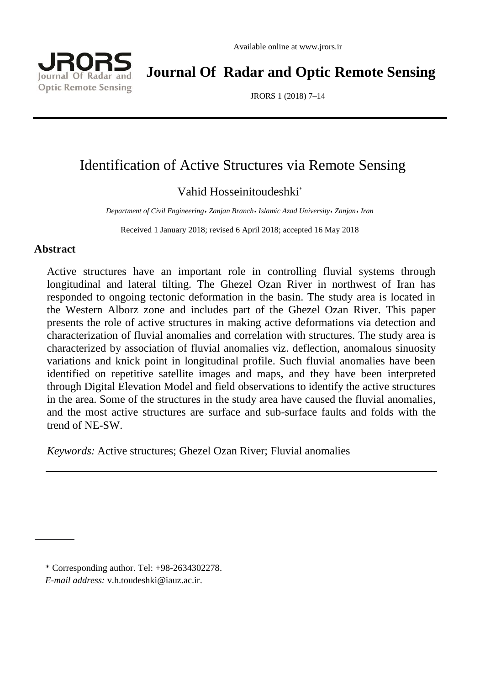



**Journal Of Radar and Optic Remote Sensing**

JRORS 1 (2018) 7–14

# Identification of Active Structures via Remote Sensing

## Vahid Hosseinitoudeshki\*

*Department of Civil Engineering*٫ *Zanjan Branch*٫ *Islamic Azad University*٫ *Zanjan*٫ *Iran*

Received 1 January 2018; revised 6 April 2018; accepted 16 May 2018

## **Abstract**

Active structures have an important role in controlling fluvial systems through longitudinal and lateral tilting. The Ghezel Ozan River in northwest of Iran has responded to ongoing tectonic deformation in the basin. The study area is located in the Western Alborz zone and includes part of the Ghezel Ozan River. This paper presents the role of active structures in making active deformations via detection and characterization of fluvial anomalies and correlation with structures. The study area is characterized by association of fluvial anomalies viz. deflection, anomalous sinuosity variations and knick point in longitudinal profile. Such fluvial anomalies have been identified on repetitive satellite images and maps, and they have been interpreted through Digital Elevation Model and field observations to identify the active structures in the area. Some of the structures in the study area have caused the fluvial anomalies, and the most active structures are surface and sub-surface faults and folds with the trend of NE-SW.

*Keywords:* Active structures; Ghezel Ozan River; Fluvial anomalies

<sup>\*</sup> Corresponding author. Tel: +98-2634302278.

*E-mail address:* [v.h.toudeshki@iauz.ac.ir.](javascript:openWin()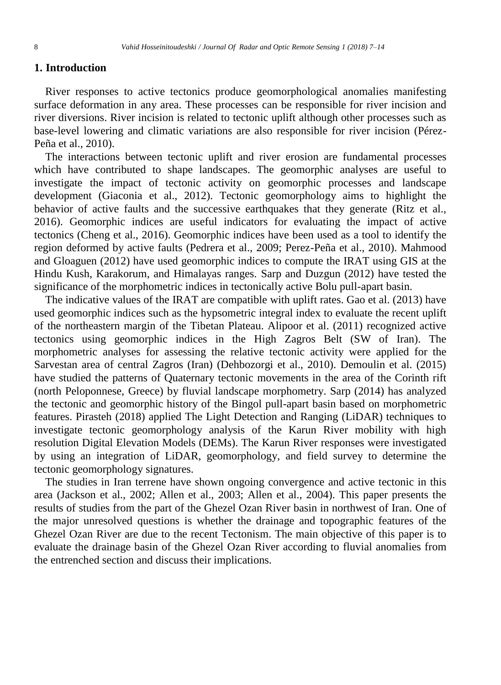## **1. Introduction**

River responses to active tectonics produce geomorphological anomalies manifesting surface deformation in any area. These processes can be responsible for river incision and river diversions. River incision is related to tectonic uplift although other processes such as base-level lowering and climatic variations are also responsible for river incision (Pérez-Peña et al., 2010).

The interactions between tectonic uplift and river erosion are fundamental processes which have contributed to shape landscapes. The geomorphic analyses are useful to investigate the impact of tectonic activity on geomorphic processes and landscape development (Giaconia et al., 2012). Tectonic geomorphology aims to highlight the behavior of active faults and the successive earthquakes that they generate (Ritz et al., 2016). Geomorphic indices are useful indicators for evaluating the impact of active tectonics (Cheng et al., 2016). Geomorphic indices have been used as a tool to identify the region deformed by active faults (Pedrera et al., 2009; Perez-Peña et al., 2010). Mahmood and Gloaguen (2012) have used geomorphic indices to compute the IRAT using GIS at the Hindu Kush, Karakorum, and Himalayas ranges. Sarp and Duzgun (2012) have tested the significance of the morphometric indices in tectonically active Bolu pull-apart basin.

The indicative values of the IRAT are compatible with uplift rates. Gao et al. (2013) have used geomorphic indices such as the hypsometric integral index to evaluate the recent uplift of the northeastern margin of the Tibetan Plateau. Alipoor et al. (2011) recognized active tectonics using geomorphic indices in the High Zagros Belt (SW of Iran). The morphometric analyses for assessing the relative tectonic activity were applied for the Sarvestan area of central Zagros (Iran) (Dehbozorgi et al., 2010). Demoulin et al. (2015) have studied the patterns of Quaternary tectonic movements in the area of the Corinth rift (north Peloponnese, Greece) by fluvial landscape morphometry. Sarp (2014) has analyzed the tectonic and geomorphic history of the Bingol pull-apart basin based on morphometric features. Pirasteh (2018) applied The Light Detection and Ranging (LiDAR) techniques to investigate tectonic geomorphology analysis of the Karun River mobility with high resolution Digital Elevation Models (DEMs). The Karun River responses were investigated by using an integration of LiDAR, geomorphology, and field survey to determine the tectonic geomorphology signatures.

The studies in Iran terrene have shown ongoing convergence and active tectonic in this area (Jackson et al., 2002; Allen et al., 2003; Allen et al., 2004). This paper presents the results of studies from the part of the Ghezel Ozan River basin in northwest of Iran. One of the major unresolved questions is whether the drainage and topographic features of the Ghezel Ozan River are due to the recent Tectonism. The main objective of this paper is to evaluate the drainage basin of the Ghezel Ozan River according to fluvial anomalies from the entrenched section and discuss their implications.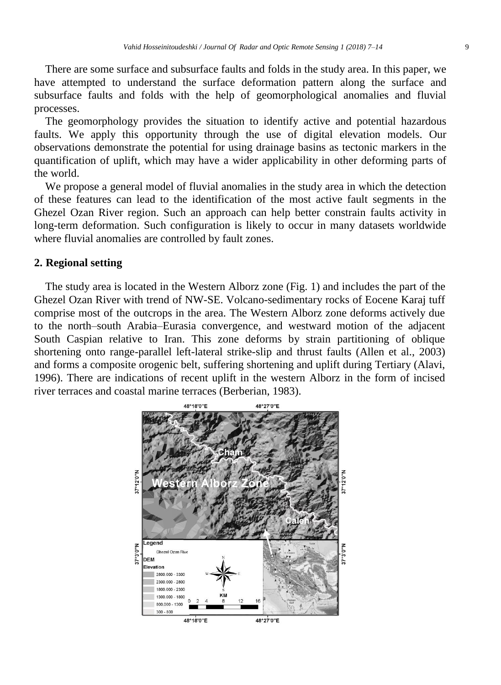There are some surface and subsurface faults and folds in the study area. In this paper, we have attempted to understand the surface deformation pattern along the surface and subsurface faults and folds with the help of geomorphological anomalies and fluvial processes.

The geomorphology provides the situation to identify active and potential hazardous faults. We apply this opportunity through the use of digital elevation models. Our observations demonstrate the potential for using drainage basins as tectonic markers in the quantification of uplift, which may have a wider applicability in other deforming parts of the world.

We propose a general model of fluvial anomalies in the study area in which the detection of these features can lead to the identification of the most active fault segments in the Ghezel Ozan River region. Such an approach can help better constrain faults activity in long-term deformation. Such configuration is likely to occur in many datasets worldwide where fluvial anomalies are controlled by fault zones.

## **2. Regional setting**

The study area is located in the Western Alborz zone (Fig. 1) and includes the part of the Ghezel Ozan River with trend of NW-SE. Volcano-sedimentary rocks of Eocene Karaj tuff comprise most of the outcrops in the area. The Western Alborz zone deforms actively due to the north–south Arabia–Eurasia convergence, and westward motion of the adjacent South Caspian relative to Iran. This zone deforms by strain partitioning of oblique shortening onto range-parallel left-lateral strike-slip and thrust faults (Allen et al., 2003) and forms a composite orogenic belt, suffering shortening and uplift during Tertiary (Alavi, 1996). There are indications of recent uplift in the western Alborz in the form of incised river terraces and coastal marine terraces (Berberian, 1983).

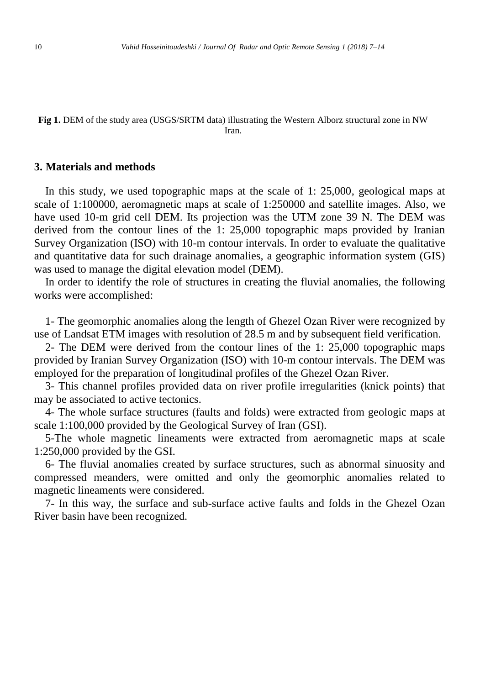#### **Fig 1.** DEM of the study area (USGS/SRTM data) illustrating the Western Alborz structural zone in NW Iran.

#### **3. Materials and methods**

In this study, we used topographic maps at the scale of 1: 25,000, geological maps at scale of 1:100000, aeromagnetic maps at scale of 1:250000 and satellite images. Also, we have used 10-m grid cell DEM. Its projection was the UTM zone 39 N. The DEM was derived from the contour lines of the 1: 25,000 topographic maps provided by Iranian Survey Organization (ISO) with 10-m contour intervals. In order to evaluate the qualitative and quantitative data for such drainage anomalies, a geographic information system (GIS) was used to manage the digital elevation model (DEM).

In order to identify the role of structures in creating the fluvial anomalies, the following works were accomplished:

1- The geomorphic anomalies along the length of Ghezel Ozan River were recognized by use of Landsat ETM images with resolution of 28.5 m and by subsequent field verification.

2- The DEM were derived from the contour lines of the 1: 25,000 topographic maps provided by Iranian Survey Organization (ISO) with 10-m contour intervals. The DEM was employed for the preparation of longitudinal profiles of the Ghezel Ozan River.

3- This channel profiles provided data on river profile irregularities (knick points) that may be associated to active tectonics.

4- The whole surface structures (faults and folds) were extracted from geologic maps at scale 1:100,000 provided by the Geological Survey of Iran (GSI).

5-The whole magnetic lineaments were extracted from aeromagnetic maps at scale 1:250,000 provided by the GSI.

6- The fluvial anomalies created by surface structures, such as abnormal sinuosity and compressed meanders, were omitted and only the geomorphic anomalies related to magnetic lineaments were considered.

7- In this way, the surface and sub-surface active faults and folds in the Ghezel Ozan River basin have been recognized.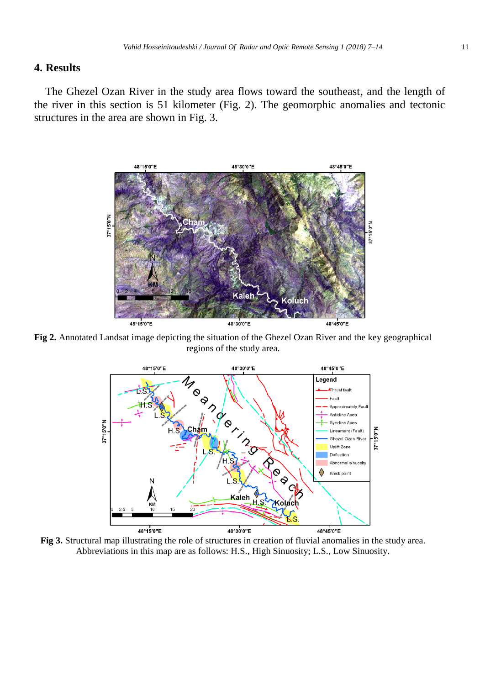## **4. Results**

The Ghezel Ozan River in the study area flows toward the southeast, and the length of the river in this section is 51 kilometer (Fig. 2). The geomorphic anomalies and tectonic structures in the area are shown in Fig. 3.



**Fig 2.** Annotated Landsat image depicting the situation of the Ghezel Ozan River and the key geographical regions of the study area.



**Fig 3.** Structural map illustrating the role of structures in creation of fluvial anomalies in the study area. Abbreviations in this map are as follows: H.S., High Sinuosity; L.S., Low Sinuosity.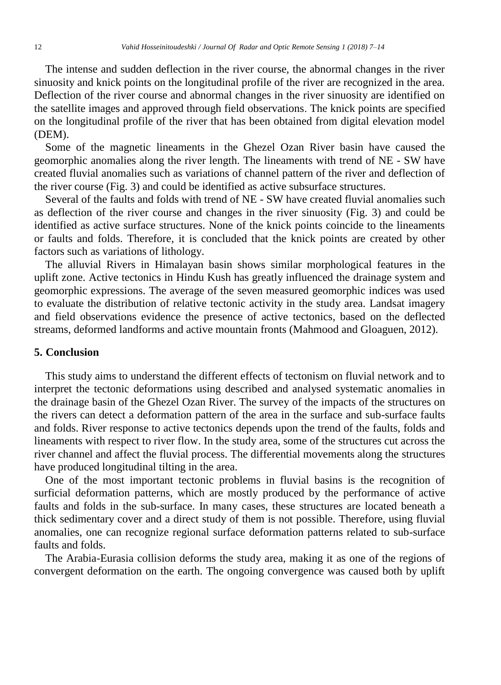The intense and sudden deflection in the river course, the abnormal changes in the river sinuosity and knick points on the longitudinal profile of the river are recognized in the area. Deflection of the river course and abnormal changes in the river sinuosity are identified on the satellite images and approved through field observations. The knick points are specified on the longitudinal profile of the river that has been obtained from digital elevation model (DEM).

Some of the magnetic lineaments in the Ghezel Ozan River basin have caused the geomorphic anomalies along the river length. The lineaments with trend of NE - SW have created fluvial anomalies such as variations of channel pattern of the river and deflection of the river course (Fig. 3) and could be identified as active subsurface structures.

Several of the faults and folds with trend of NE - SW have created fluvial anomalies such as deflection of the river course and changes in the river sinuosity (Fig. 3) and could be identified as active surface structures. None of the knick points coincide to the lineaments or faults and folds. Therefore, it is concluded that the knick points are created by other factors such as variations of lithology.

The alluvial Rivers in Himalayan basin shows similar morphological features in the uplift zone. Active tectonics in Hindu Kush has greatly influenced the drainage system and geomorphic expressions. The average of the seven measured geomorphic indices was used to evaluate the distribution of relative tectonic activity in the study area. Landsat imagery and field observations evidence the presence of active tectonics, based on the deflected streams, deformed landforms and active mountain fronts (Mahmood and Gloaguen, 2012).

### **5. Conclusion**

This study aims to understand the different effects of tectonism on fluvial network and to interpret the tectonic deformations using described and analysed systematic anomalies in the drainage basin of the Ghezel Ozan River. The survey of the impacts of the structures on the rivers can detect a deformation pattern of the area in the surface and sub-surface faults and folds. River response to active tectonics depends upon the trend of the faults, folds and lineaments with respect to river flow. In the study area, some of the structures cut across the river channel and affect the fluvial process. The differential movements along the structures have produced longitudinal tilting in the area.

One of the most important tectonic problems in fluvial basins is the recognition of surficial deformation patterns, which are mostly produced by the performance of active faults and folds in the sub-surface. In many cases, these structures are located beneath a thick sedimentary cover and a direct study of them is not possible. Therefore, using fluvial anomalies, one can recognize regional surface deformation patterns related to sub-surface faults and folds.

The Arabia-Eurasia collision deforms the study area, making it as one of the regions of convergent deformation on the earth. The ongoing convergence was caused both by uplift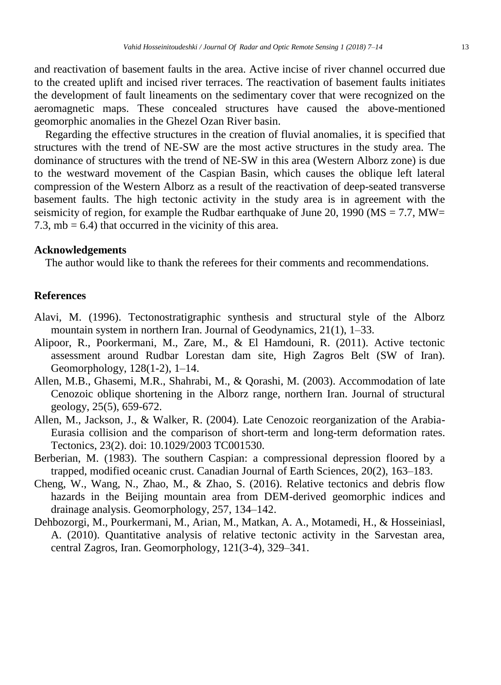and reactivation of basement faults in the area. Active incise of river channel occurred due to the created uplift and incised river terraces. The reactivation of basement faults initiates the development of fault lineaments on the sedimentary cover that were recognized on the aeromagnetic maps. These concealed structures have caused the above-mentioned geomorphic anomalies in the Ghezel Ozan River basin.

Regarding the effective structures in the creation of fluvial anomalies, it is specified that structures with the trend of NE-SW are the most active structures in the study area. The dominance of structures with the trend of NE-SW in this area (Western Alborz zone) is due to the westward movement of the Caspian Basin, which causes the oblique left lateral compression of the Western Alborz as a result of the reactivation of deep-seated transverse basement faults. The high tectonic activity in the study area is in agreement with the seismicity of region, for example the Rudbar earthquake of June 20, 1990 ( $\text{MS} = 7.7$ ,  $\text{MW} =$ 7.3,  $mb = 6.4$ ) that occurred in the vicinity of this area.

#### **Acknowledgements**

The author would like to thank the referees for their comments and recommendations.

## **References**

- Alavi, M. (1996). Tectonostratigraphic synthesis and structural style of the Alborz mountain system in northern Iran. Journal of Geodynamics, 21(1), 1–33.
- Alipoor, R., Poorkermani, M., Zare, M., & El Hamdouni, R. (2011). Active tectonic assessment around Rudbar Lorestan dam site, High Zagros Belt (SW of Iran). Geomorphology, 128(1-2), 1–14.
- Allen, M.B., Ghasemi, M.R., Shahrabi, M., & Qorashi, M. (2003). Accommodation of late Cenozoic oblique shortening in the Alborz range, northern Iran. Journal of structural geology, 25(5), 659-672.
- Allen, M., Jackson, J., & Walker, R. (2004). Late Cenozoic reorganization of the Arabia-Eurasia collision and the comparison of short-term and long-term deformation rates. Tectonics, 23(2). doi: 10.1029/2003 TC001530.
- Berberian, M. (1983). The southern Caspian: a compressional depression floored by a trapped, modified oceanic crust. Canadian Journal of Earth Sciences, 20(2), 163–183.
- Cheng, W., Wang, N., Zhao, M., & Zhao, S. (2016). Relative tectonics and debris flow hazards in the Beijing mountain area from DEM-derived geomorphic indices and drainage analysis. Geomorphology, 257, 134–142.
- Dehbozorgi, M., Pourkermani, M., Arian, M., Matkan, A. A., Motamedi, H., & Hosseiniasl, A. (2010). Quantitative analysis of relative tectonic activity in the Sarvestan area, central Zagros, Iran. Geomorphology, 121(3-4), 329–341.